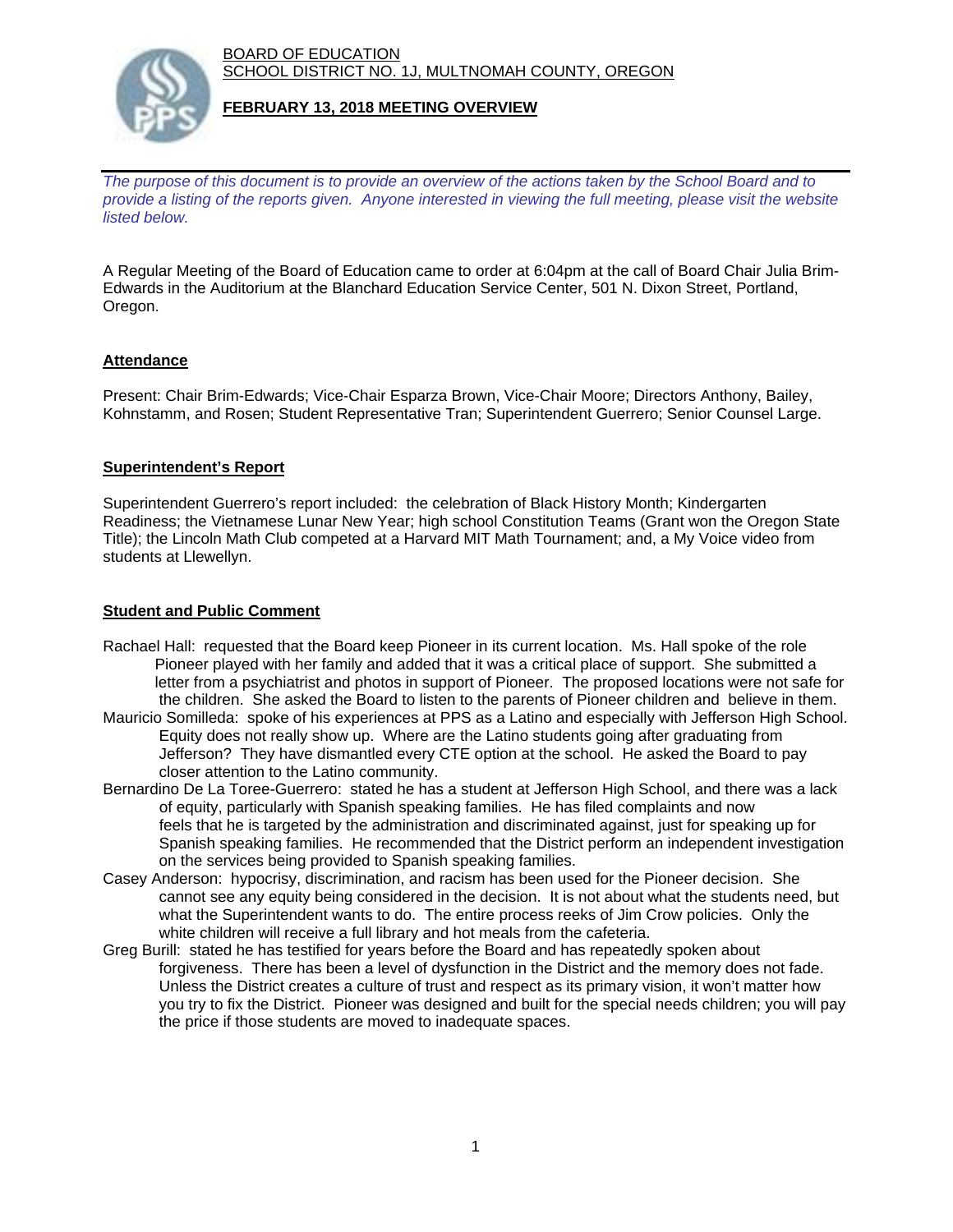BOARD OF EDUCATION SCHOOL DISTRICT NO. 1J, MULTNOMAH COUNTY, OREGON



#### **FEBRUARY 13, 2018 MEETING OVERVIEW**

*The purpose of this document is to provide an overview of the actions taken by the School Board and to provide a listing of the reports given. Anyone interested in viewing the full meeting, please visit the website listed below.*

A Regular Meeting of the Board of Education came to order at 6:04pm at the call of Board Chair Julia Brim-Edwards in the Auditorium at the Blanchard Education Service Center, 501 N. Dixon Street, Portland, Oregon.

## **Attendance**

Present: Chair Brim-Edwards; Vice-Chair Esparza Brown, Vice-Chair Moore; Directors Anthony, Bailey, Kohnstamm, and Rosen; Student Representative Tran; Superintendent Guerrero; Senior Counsel Large.

#### **Superintendent's Report**

Superintendent Guerrero's report included: the celebration of Black History Month; Kindergarten Readiness; the Vietnamese Lunar New Year; high school Constitution Teams (Grant won the Oregon State Title); the Lincoln Math Club competed at a Harvard MIT Math Tournament; and, a My Voice video from students at Llewellyn.

#### **Student and Public Comment**

- Rachael Hall: requested that the Board keep Pioneer in its current location. Ms. Hall spoke of the role Pioneer played with her family and added that it was a critical place of support. She submitted a letter from a psychiatrist and photos in support of Pioneer. The proposed locations were not safe for the children. She asked the Board to listen to the parents of Pioneer children and believe in them.
- Mauricio Somilleda: spoke of his experiences at PPS as a Latino and especially with Jefferson High School. Equity does not really show up. Where are the Latino students going after graduating from Jefferson? They have dismantled every CTE option at the school. He asked the Board to pay closer attention to the Latino community.
- Bernardino De La Toree-Guerrero: stated he has a student at Jefferson High School, and there was a lack of equity, particularly with Spanish speaking families. He has filed complaints and now feels that he is targeted by the administration and discriminated against, just for speaking up for Spanish speaking families. He recommended that the District perform an independent investigation on the services being provided to Spanish speaking families.
- Casey Anderson: hypocrisy, discrimination, and racism has been used for the Pioneer decision. She cannot see any equity being considered in the decision. It is not about what the students need, but what the Superintendent wants to do. The entire process reeks of Jim Crow policies. Only the white children will receive a full library and hot meals from the cafeteria.
- Greg Burill: stated he has testified for years before the Board and has repeatedly spoken about forgiveness. There has been a level of dysfunction in the District and the memory does not fade. Unless the District creates a culture of trust and respect as its primary vision, it won't matter how you try to fix the District. Pioneer was designed and built for the special needs children; you will pay the price if those students are moved to inadequate spaces.